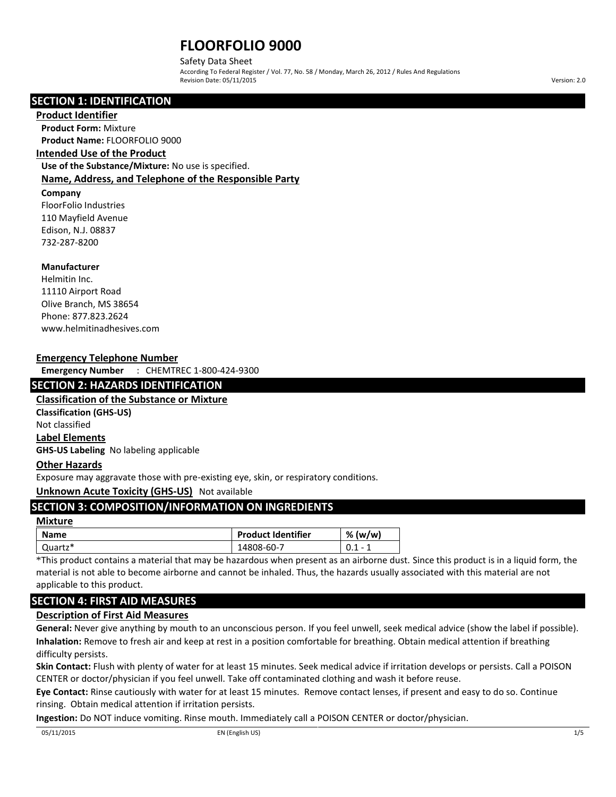Safety Data Sheet

According To Federal Register / Vol. 77, No. 58 / Monday, March 26, 2012 / Rules And Regulations Revision Date: 05/11/2015 Version: 2.0

# **SECTION 1: IDENTIFICATION**

## **Product Identifier**

**Product Form:** Mixture **Product Name:** FLOORFOLIO 9000

## **Intended Use of the Product**

**Use of the Substance/Mixture:** No use is specified. **Name, Address, and Telephone of the Responsible Party**

# **Company**

FloorFolio Industries 110 Mayfield Avenue Edison, N.J. 08837 732-287-8200

# **Manufacturer**

Helmitin Inc. 11110 Airport Road Olive Branch, MS 38654 Phone: 877.823.2624 www.helmitinadhesives.com

## **Emergency Telephone Number**

**Emergency Number** : CHEMTREC 1-800-424-9300

# **SECTION 2: HAZARDS IDENTIFICATION**

**Classification of the Substance or Mixture**

**Classification (GHS-US)** Not classified **Label Elements**

**GHS-US Labeling** No labeling applicable

# **Other Hazards**

Exposure may aggravate those with pre-existing eye, skin, or respiratory conditions.

# **Unknown Acute Toxicity (GHS-US)** Not available

# **SECTION 3: COMPOSITION/INFORMATION ON INGREDIENTS**

#### **Mixture**

| Name    | <b>Product Identifier</b> | % (w/w)       |
|---------|---------------------------|---------------|
| Quartz* | 14808-60-7                | 0.1<br>-<br>- |

\*This product contains a material that may be hazardous when present as an airborne dust. Since this product is in a liquid form, the material is not able to become airborne and cannot be inhaled. Thus, the hazards usually associated with this material are not applicable to this product.

# **SECTION 4: FIRST AID MEASURES**

# **Description of First Aid Measures**

**General:** Never give anything by mouth to an unconscious person. If you feel unwell, seek medical advice (show the label if possible). **Inhalation:** Remove to fresh air and keep at rest in a position comfortable for breathing. Obtain medical attention if breathing difficulty persists.

**Skin Contact:** Flush with plenty of water for at least 15 minutes. Seek medical advice if irritation develops or persists. Call a POISON CENTER or doctor/physician if you feel unwell. Take off contaminated clothing and wash it before reuse.

**Eye Contact:** Rinse cautiously with water for at least 15 minutes. Remove contact lenses, if present and easy to do so. Continue rinsing. Obtain medical attention if irritation persists.

**Ingestion:** Do NOT induce vomiting. Rinse mouth. Immediately call a POISON CENTER or doctor/physician.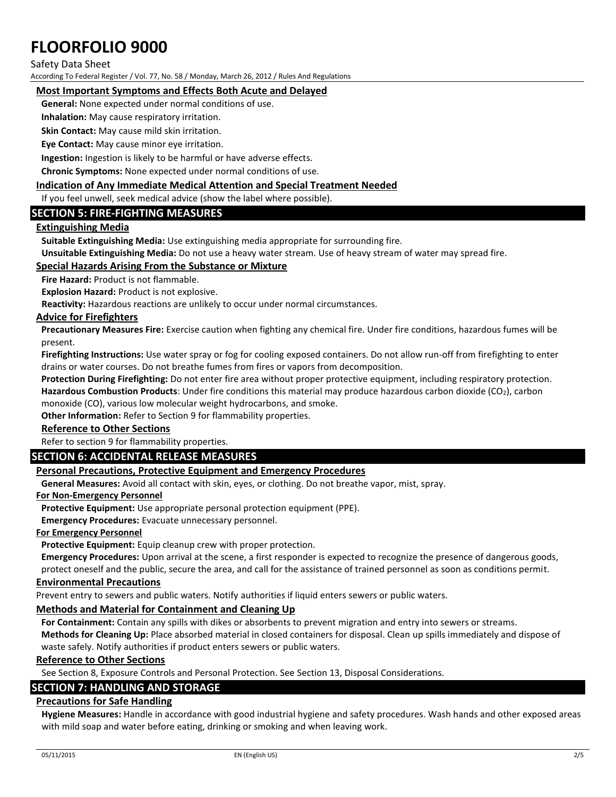## Safety Data Sheet

According To Federal Register / Vol. 77, No. 58 / Monday, March 26, 2012 / Rules And Regulations

# **Most Important Symptoms and Effects Both Acute and Delayed**

**General:** None expected under normal conditions of use.

**Inhalation:** May cause respiratory irritation.

**Skin Contact:** May cause mild skin irritation.

**Eye Contact:** May cause minor eye irritation.

**Ingestion:** Ingestion is likely to be harmful or have adverse effects.

**Chronic Symptoms:** None expected under normal conditions of use.

## **Indication of Any Immediate Medical Attention and Special Treatment Needed**

If you feel unwell, seek medical advice (show the label where possible).

# **SECTION 5: FIRE-FIGHTING MEASURES**

# **Extinguishing Media**

**Suitable Extinguishing Media:** Use extinguishing media appropriate for surrounding fire.

**Unsuitable Extinguishing Media:** Do not use a heavy water stream. Use of heavy stream of water may spread fire.

# **Special Hazards Arising From the Substance or Mixture**

**Fire Hazard:** Product is not flammable.

**Explosion Hazard:** Product is not explosive.

**Reactivity:** Hazardous reactions are unlikely to occur under normal circumstances.

## **Advice for Firefighters**

**Precautionary Measures Fire:** Exercise caution when fighting any chemical fire. Under fire conditions, hazardous fumes will be present.

**Firefighting Instructions:** Use water spray or fog for cooling exposed containers. Do not allow run-off from firefighting to enter drains or water courses. Do not breathe fumes from fires or vapors from decomposition.

**Protection During Firefighting:** Do not enter fire area without proper protective equipment, including respiratory protection.

**Hazardous Combustion Products**: Under fire conditions this material may produce hazardous carbon dioxide (CO2), carbon monoxide (CO), various low molecular weight hydrocarbons, and smoke.

**Other Information:** Refer to Section 9 for flammability properties.

### **Reference to Other Sections**

Refer to section 9 for flammability properties.

# **SECTION 6: ACCIDENTAL RELEASE MEASURES**

# **Personal Precautions, Protective Equipment and Emergency Procedures**

**General Measures:** Avoid all contact with skin, eyes, or clothing. Do not breathe vapor, mist, spray.

### **For Non-Emergency Personnel**

**Protective Equipment:** Use appropriate personal protection equipment (PPE).

**Emergency Procedures:** Evacuate unnecessary personnel.

### **For Emergency Personnel**

**Protective Equipment:** Equip cleanup crew with proper protection.

**Emergency Procedures:** Upon arrival at the scene, a first responder is expected to recognize the presence of dangerous goods,

protect oneself and the public, secure the area, and call for the assistance of trained personnel as soon as conditions permit. **Environmental Precautions**

Prevent entry to sewers and public waters. Notify authorities if liquid enters sewers or public waters.

### **Methods and Material for Containment and Cleaning Up**

**For Containment:** Contain any spills with dikes or absorbents to prevent migration and entry into sewers or streams.

**Methods for Cleaning Up:** Place absorbed material in closed containers for disposal. Clean up spills immediately and dispose of waste safely. Notify authorities if product enters sewers or public waters.

# **Reference to Other Sections**

See Section 8, Exposure Controls and Personal Protection. See Section 13, Disposal Considerations.

# **SECTION 7: HANDLING AND STORAGE**

# **Precautions for Safe Handling**

**Hygiene Measures:** Handle in accordance with good industrial hygiene and safety procedures. Wash hands and other exposed areas with mild soap and water before eating, drinking or smoking and when leaving work.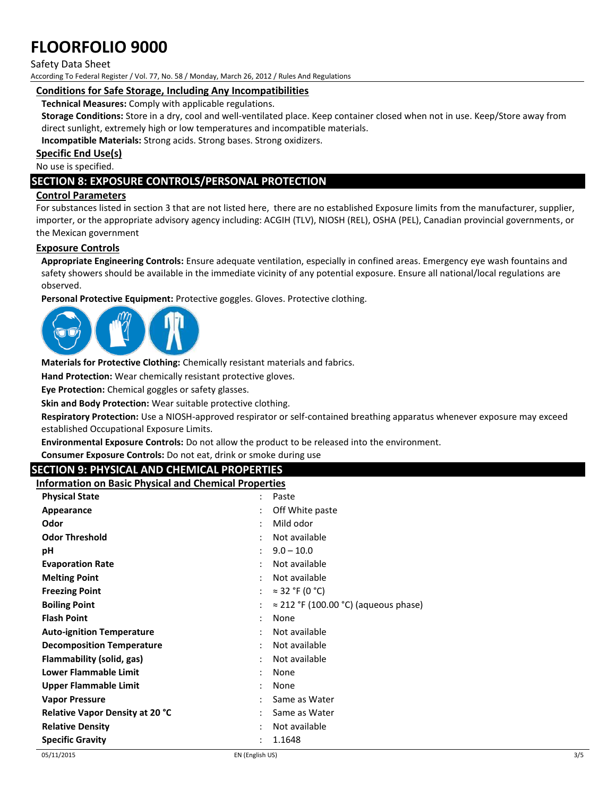### Safety Data Sheet

According To Federal Register / Vol. 77, No. 58 / Monday, March 26, 2012 / Rules And Regulations

## **Conditions for Safe Storage, Including Any Incompatibilities**

**Technical Measures:** Comply with applicable regulations.

**Storage Conditions:** Store in a dry, cool and well-ventilated place. Keep container closed when not in use. Keep/Store away from direct sunlight, extremely high or low temperatures and incompatible materials.

**Incompatible Materials:** Strong acids. Strong bases. Strong oxidizers.

**Specific End Use(s)**

No use is specified.

# **SECTION 8: EXPOSURE CONTROLS/PERSONAL PROTECTION**

## **Control Parameters**

For substances listed in section 3 that are not listed here, there are no established Exposure limits from the manufacturer, supplier, importer, or the appropriate advisory agency including: ACGIH (TLV), NIOSH (REL), OSHA (PEL), Canadian provincial governments, or the Mexican government

## **Exposure Controls**

**Appropriate Engineering Controls:** Ensure adequate ventilation, especially in confined areas. Emergency eye wash fountains and safety showers should be available in the immediate vicinity of any potential exposure. Ensure all national/local regulations are observed.

**Personal Protective Equipment:** Protective goggles. Gloves. Protective clothing.



**Materials for Protective Clothing:** Chemically resistant materials and fabrics.

**Hand Protection:** Wear chemically resistant protective gloves.

**Eye Protection:** Chemical goggles or safety glasses.

**Skin and Body Protection:** Wear suitable protective clothing.

**Respiratory Protection:** Use a NIOSH-approved respirator or self-contained breathing apparatus whenever exposure may exceed established Occupational Exposure Limits.

**Environmental Exposure Controls:** Do not allow the product to be released into the environment.

**Consumer Exposure Controls:** Do not eat, drink or smoke during use

# **SECTION 9: PHYSICAL AND CHEMICAL PROPERTIES**

**Information on Basic Physical and Chemical Properties**

| <b>Physical State</b>                  | $\bullet$            | Paste                                        |
|----------------------------------------|----------------------|----------------------------------------------|
| Appearance                             | ٠                    | Off White paste                              |
| Odor                                   | ٠                    | Mild odor                                    |
| <b>Odor Threshold</b>                  |                      | Not available                                |
| рH                                     | ÷                    | $9.0 - 10.0$                                 |
| <b>Evaporation Rate</b>                | $\bullet$            | Not available                                |
| <b>Melting Point</b>                   |                      | Not available                                |
| <b>Freezing Point</b>                  | $\ddot{\phantom{a}}$ | $\approx$ 32 °F (0 °C)                       |
| <b>Boiling Point</b>                   | $\ddot{\cdot}$       | $\approx$ 212 °F (100.00 °C) (aqueous phase) |
| <b>Flash Point</b>                     | ٠                    | None                                         |
| <b>Auto-ignition Temperature</b>       | $\bullet$            | Not available                                |
| <b>Decomposition Temperature</b>       | $\bullet$            | Not available                                |
| Flammability (solid, gas)              | $\ddot{\cdot}$       | Not available                                |
| <b>Lower Flammable Limit</b>           | $\ddot{\cdot}$       | None                                         |
| Upper Flammable Limit                  | $\ddot{\cdot}$       | None                                         |
| <b>Vapor Pressure</b>                  |                      | Same as Water                                |
| <b>Relative Vapor Density at 20 °C</b> |                      | Same as Water                                |
| <b>Relative Density</b>                |                      | Not available                                |
| <b>Specific Gravity</b>                | $\ddot{\cdot}$       | 1.1648                                       |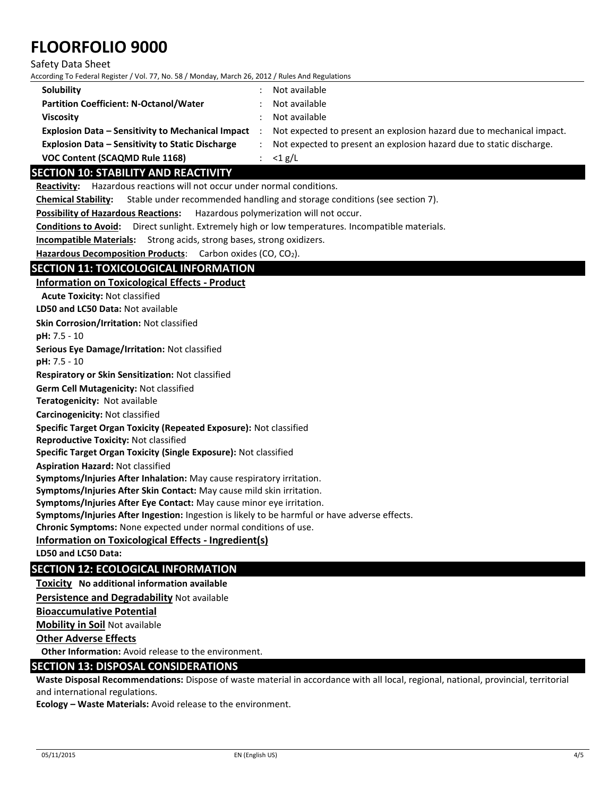#### Safety Data Sheet

According To Federal Register / Vol. 77, No. 58 / Monday, March 26, 2012 / Rules And Regulations

| Solubility                                               | Not available                                                         |
|----------------------------------------------------------|-----------------------------------------------------------------------|
| <b>Partition Coefficient: N-Octanol/Water</b>            | Not available                                                         |
| <b>Viscosity</b>                                         | Not available                                                         |
| <b>Explosion Data - Sensitivity to Mechanical Impact</b> | Not expected to present an explosion hazard due to mechanical impact. |
| <b>Explosion Data - Sensitivity to Static Discharge</b>  | Not expected to present an explosion hazard due to static discharge.  |
| VOC Content (SCAQMD Rule 1168)                           | : $\lt 1$ g/L                                                         |

# **SECTION 10: STABILITY AND REACTIVITY**

**Reactivity:** Hazardous reactions will not occur under normal conditions.

**Chemical Stability:** Stable under recommended handling and storage conditions (see section 7).

**Possibility of Hazardous Reactions:** Hazardous polymerization will not occur.

**Conditions to Avoid:** Direct sunlight. Extremely high or low temperatures. Incompatible materials.

**Incompatible Materials:** Strong acids, strong bases, strong oxidizers.

Hazardous Decomposition Products: Carbon oxides (CO, CO<sub>2</sub>).

# **SECTION 11: TOXICOLOGICAL INFORMATION**

## **Information on Toxicological Effects - Product**

**LD50 and LC50 Data:** Not available **Skin Corrosion/Irritation:** Not classified **pH:** 7.5 - 10 **Serious Eye Damage/Irritation:** Not classified **pH:** 7.5 - 10 **Respiratory or Skin Sensitization:** Not classified **Germ Cell Mutagenicity:** Not classified **Teratogenicity:** Not available**Carcinogenicity:** Not classified **Specific Target Organ Toxicity (Repeated Exposure):** Not classified **Reproductive Toxicity:** Not classified **Specific Target Organ Toxicity (Single Exposure):** Not classified **Aspiration Hazard:** Not classified **Symptoms/Injuries After Inhalation:** May cause respiratory irritation. **Symptoms/Injuries After Skin Contact:** May cause mild skin irritation. **Symptoms/Injuries After Eye Contact:** May cause minor eye irritation. **Symptoms/Injuries After Ingestion:** Ingestion is likely to be harmful or have adverse effects. **Chronic Symptoms:** None expected under normal conditions of use. **Information on Toxicological Effects - Ingredient(s) Acute Toxicity:** Not classified

**LD50 and LC50 Data:**

# **SECTION 12: ECOLOGICAL INFORMATION**

**Toxicity No additional information available**

**Persistence and Degradability** Not available

## **Bioaccumulative Potential**

**Mobility in Soil** Not available

**Other Adverse Effects**

**Other Information:** Avoid release to the environment.

# **SECTION 13: DISPOSAL CONSIDERATIONS**

**Waste Disposal Recommendations:** Dispose of waste material in accordance with all local, regional, national, provincial, territorial and international regulations.

**Ecology – Waste Materials:** Avoid release to the environment.